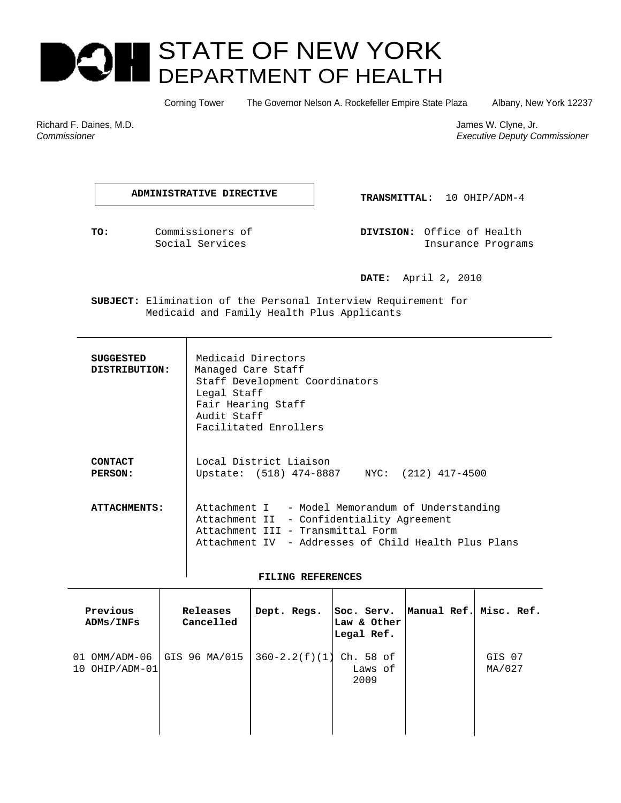# STATE OF NEW YORK E )| DEPARTMENT OF HEALTH

Corning Tower The Governor Nelson A. Rockefeller Empire State Plaza Albany, New York 12237

Richard F. Daines, M.D. James W. Clyne, Jr. James W. Clyne, Jr. James W. Clyne, Jr. James W. Clyne, Jr. James W. Clyne, Jr. James W. Clyne, Jr. James W. Clyne, Jr. James W. Clyne, Jr. James W. Clyne, Jr. James W. Clyne, Jr *Commissioner Executive Deputy Commissioner* 

**ADMINISTRATIVE DIRECTIVE ADMINISTRATIVE DIRECTIVE ADMITTAL**: 10 OHIP/ADM-4

 **TO:** Commissioners of **DIVISION:** Office of Health Social Services and Insurance Programs

 **DATE:** April 2, 2010

 **SUBJECT:** Elimination of the Personal Interview Requirement for Medicaid and Family Health Plus Applicants

| <b>SUGGESTED</b><br>DISTRIBUTION: | Medicaid Directors<br>Managed Care Staff<br>Staff Development Coordinators<br>Legal Staff<br>Fair Hearing Staff<br>Audit Staff<br>Facilitated Enrollers                                    |  |  |  |  |
|-----------------------------------|--------------------------------------------------------------------------------------------------------------------------------------------------------------------------------------------|--|--|--|--|
| CONTACT<br>PERSON:                | Local District Liaison<br>Upstate: (518) 474-8887 NYC: (212) 417-4500                                                                                                                      |  |  |  |  |
| <b>ATTACHMENTS:</b>               | Attachment I - Model Memorandum of Understanding<br>Attachment II - Confidentiality Agreement<br>Attachment III - Transmittal Form<br>Attachment IV - Addresses of Child Health Plus Plans |  |  |  |  |

## **FILING REFERENCES**

| Previous<br>ADMS/INFS                 | Releases<br>Cancelled | Dept. Regs.       | Soc. Serv.<br>Law & Other<br>Legal Ref. | Manual Ref. Misc. Ref. |                  |
|---------------------------------------|-----------------------|-------------------|-----------------------------------------|------------------------|------------------|
| OMM/ADM-06<br>01<br>OHIP/ADM-01<br>10 | GIS 96 MA/015         | $360 - 2.2(f)(1)$ | Ch. 58 of<br>Laws of<br>2009            |                        | GIS 07<br>MA/027 |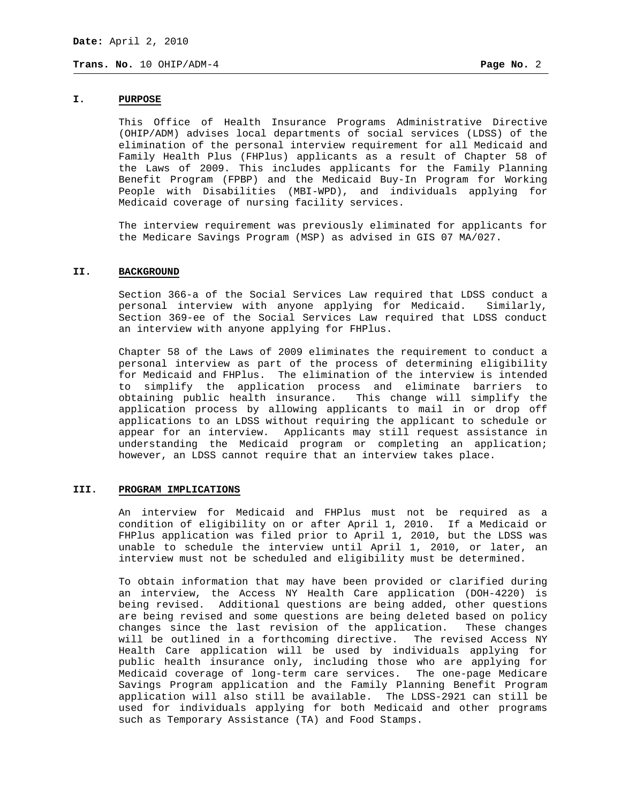# **I. PURPOSE**

 This Office of Health Insurance Programs Administrative Directive (OHIP/ADM) advises local departments of social services (LDSS) of the elimination of the personal interview requirement for all Medicaid and Family Health Plus (FHPlus) applicants as a result of Chapter 58 of the Laws of 2009. This includes applicants for the Family Planning Benefit Program (FPBP) and the Medicaid Buy-In Program for Working People with Disabilities (MBI-WPD), and individuals applying for Medicaid coverage of nursing facility services.

 The interview requirement was previously eliminated for applicants for the Medicare Savings Program (MSP) as advised in GIS 07 MA/027.

## **II. BACKGROUND**

 Section 366-a of the Social Services Law required that LDSS conduct a personal interview with anyone applying for Medicaid. Similarly, Section 369-ee of the Social Services Law required that LDSS conduct an interview with anyone applying for FHPlus.

 Chapter 58 of the Laws of 2009 eliminates the requirement to conduct a personal interview as part of the process of determining eligibility for Medicaid and FHPlus. The elimination of the interview is intended to simplify the application process and eliminate barriers to obtaining public health insurance. This change will simplify the application process by allowing applicants to mail in or drop off applications to an LDSS without requiring the applicant to schedule or appear for an interview. Applicants may still request assistance in understanding the Medicaid program or completing an application; however, an LDSS cannot require that an interview takes place.

## **III. PROGRAM IMPLICATIONS**

An interview for Medicaid and FHPlus must not be required as a condition of eligibility on or after April 1, 2010. If a Medicaid or FHPlus application was filed prior to April 1, 2010, but the LDSS was unable to schedule the interview until April 1, 2010, or later, an interview must not be scheduled and eligibility must be determined.

To obtain information that may have been provided or clarified during an interview, the Access NY Health Care application (DOH-4220) is being revised. Additional questions are being added, other questions are being revised and some questions are being deleted based on policy changes since the last revision of the application. These changes will be outlined in a forthcoming directive. The revised Access NY Health Care application will be used by individuals applying for public health insurance only, including those who are applying for Medicaid coverage of long-term care services. The one-page Medicare Savings Program application and the Family Planning Benefit Program application will also still be available. The LDSS-2921 can still be used for individuals applying for both Medicaid and other programs such as Temporary Assistance (TA) and Food Stamps.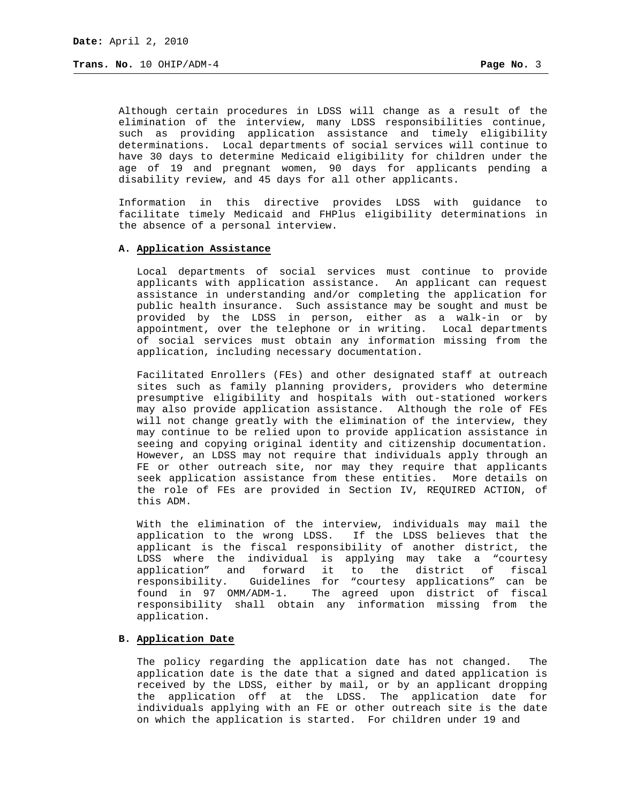Although certain procedures in LDSS will change as a result of the elimination of the interview, many LDSS responsibilities continue, such as providing application assistance and timely eligibility determinations. Local departments of social services will continue to have 30 days to determine Medicaid eligibility for children under the age of 19 and pregnant women, 90 days for applicants pending a disability review, and 45 days for all other applicants.

Information in this directive provides LDSS with guidance to facilitate timely Medicaid and FHPlus eligibility determinations in the absence of a personal interview.

## **A. Application Assistance**

Local departments of social services must continue to provide applicants with application assistance. An applicant can request assistance in understanding and/or completing the application for public health insurance. Such assistance may be sought and must be provided by the LDSS in person, either as a walk-in or by appointment, over the telephone or in writing. Local departments of social services must obtain any information missing from the application, including necessary documentation.

Facilitated Enrollers (FEs) and other designated staff at outreach sites such as family planning providers, providers who determine presumptive eligibility and hospitals with out-stationed workers may also provide application assistance. Although the role of FEs will not change greatly with the elimination of the interview, they may continue to be relied upon to provide application assistance in seeing and copying original identity and citizenship documentation. However, an LDSS may not require that individuals apply through an FE or other outreach site, nor may they require that applicants seek application assistance from these entities. More details on the role of FEs are provided in Section IV, REQUIRED ACTION, of this ADM.

With the elimination of the interview, individuals may mail the application to the wrong LDSS. If the LDSS believes that the applicant is the fiscal responsibility of another district, the LDSS where the individual is applying may take a "courtesy application" and forward it to the district of fiscal responsibility. Guidelines for "courtesy applications" can be found in 97 OMM/ADM-1. The agreed upon district of fiscal responsibility shall obtain any information missing from the application.

## **B. Application Date**

The policy regarding the application date has not changed. The application date is the date that a signed and dated application is received by the LDSS, either by mail, or by an applicant dropping the application off at the LDSS. The application date for individuals applying with an FE or other outreach site is the date on which the application is started. For children under 19 and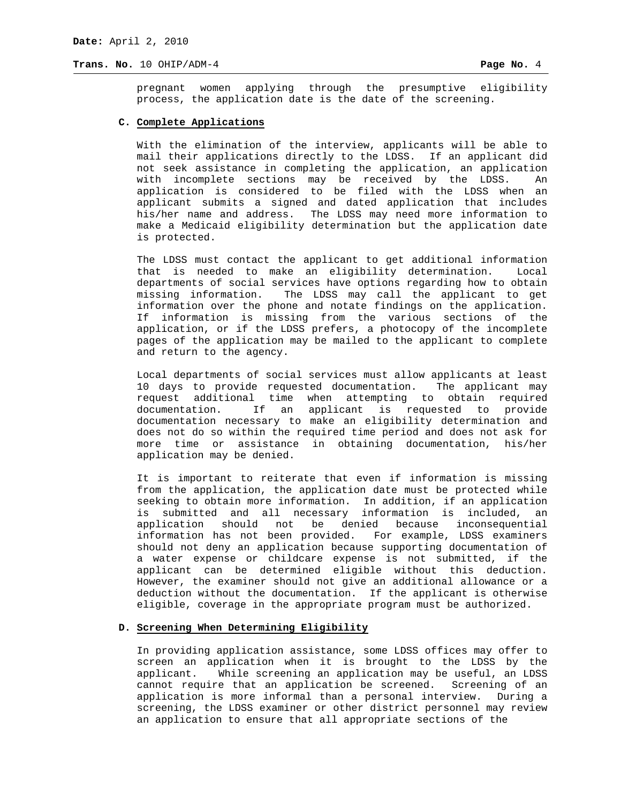pregnant women applying through the presumptive eligibility process, the application date is the date of the screening.

#### **C. Complete Applications**

With the elimination of the interview, applicants will be able to mail their applications directly to the LDSS. If an applicant did not seek assistance in completing the application, an application with incomplete sections may be received by the LDSS. An application is considered to be filed with the LDSS when an applicant submits a signed and dated application that includes his/her name and address. The LDSS may need more information to make a Medicaid eligibility determination but the application date is protected.

The LDSS must contact the applicant to get additional information that is needed to make an eligibility determination. Local departments of social services have options regarding how to obtain missing information. The LDSS may call the applicant to get information over the phone and notate findings on the application. If information is missing from the various sections of the application, or if the LDSS prefers, a photocopy of the incomplete pages of the application may be mailed to the applicant to complete and return to the agency.

Local departments of social services must allow applicants at least 10 days to provide requested documentation. The applicant may request additional time when attempting to obtain required documentation. If an applicant is requested to provide documentation necessary to make an eligibility determination and does not do so within the required time period and does not ask for more time or assistance in obtaining documentation, his/her application may be denied.

It is important to reiterate that even if information is missing from the application, the application date must be protected while seeking to obtain more information. In addition, if an application is submitted and all necessary information is included, an application should not be denied because inconsequential information has not been provided. For example, LDSS examiners should not deny an application because supporting documentation of a water expense or childcare expense is not submitted, if the applicant can be determined eligible without this deduction. However, the examiner should not give an additional allowance or a deduction without the documentation. If the applicant is otherwise eligible, coverage in the appropriate program must be authorized.

#### **D. Screening When Determining Eligibility**

In providing application assistance, some LDSS offices may offer to screen an application when it is brought to the LDSS by the applicant. While screening an application may be useful, an LDSS cannot require that an application be screened. Screening of an application is more informal than a personal interview. During a screening, the LDSS examiner or other district personnel may review an application to ensure that all appropriate sections of the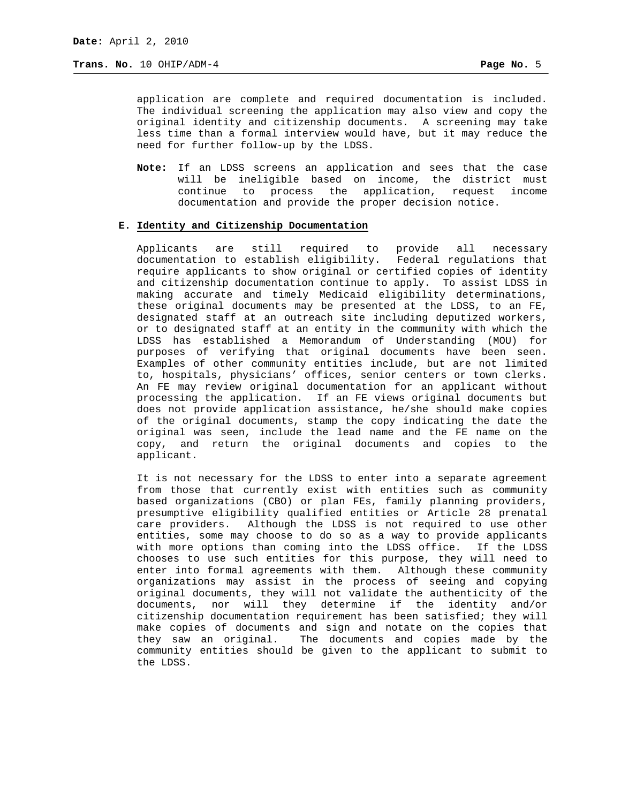application are complete and required documentation is included. The individual screening the application may also view and copy the original identity and citizenship documents. A screening may take less time than a formal interview would have, but it may reduce the need for further follow-up by the LDSS.

**Note:** If an LDSS screens an application and sees that the case will be ineligible based on income, the district must continue to process the application, request income documentation and provide the proper decision notice.

## **E. Identity and Citizenship Documentation**

Applicants are still required to provide all necessary documentation to establish eligibility. Federal regulations that require applicants to show original or certified copies of identity and citizenship documentation continue to apply. To assist LDSS in making accurate and timely Medicaid eligibility determinations, these original documents may be presented at the LDSS, to an FE, designated staff at an outreach site including deputized workers, or to designated staff at an entity in the community with which the LDSS has established a Memorandum of Understanding (MOU) for purposes of verifying that original documents have been seen. Examples of other community entities include, but are not limited to, hospitals, physicians' offices, senior centers or town clerks. An FE may review original documentation for an applicant without processing the application. If an FE views original documents but does not provide application assistance, he/she should make copies of the original documents, stamp the copy indicating the date the original was seen, include the lead name and the FE name on the copy, and return the original documents and copies to the applicant.

It is not necessary for the LDSS to enter into a separate agreement from those that currently exist with entities such as community based organizations (CBO) or plan FEs, family planning providers, presumptive eligibility qualified entities or Article 28 prenatal care providers. Although the LDSS is not required to use other entities, some may choose to do so as a way to provide applicants with more options than coming into the LDSS office. If the LDSS chooses to use such entities for this purpose, they will need to enter into formal agreements with them. Although these community organizations may assist in the process of seeing and copying original documents, they will not validate the authenticity of the documents, nor will they determine if the identity and/or citizenship documentation requirement has been satisfied; they will make copies of documents and sign and notate on the copies that they saw an original. The documents and copies made by the community entities should be given to the applicant to submit to the LDSS.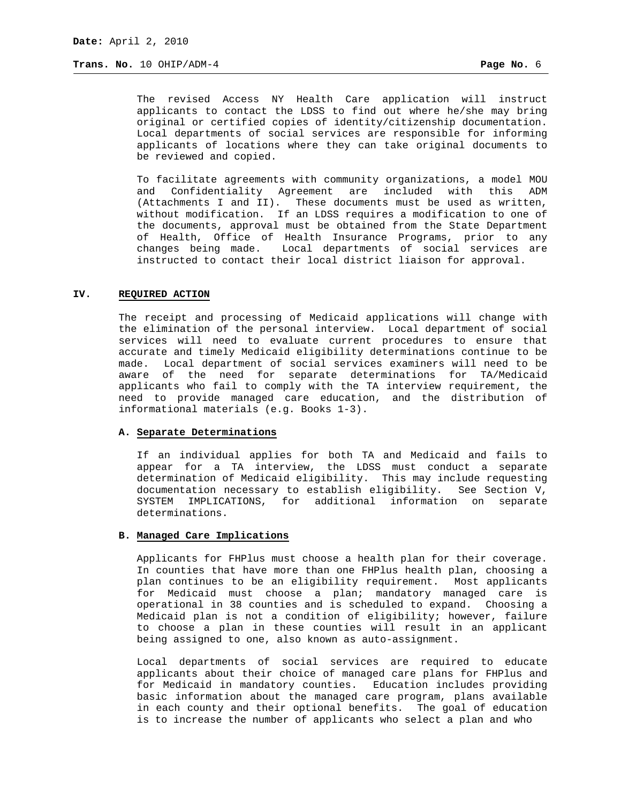The revised Access NY Health Care application will instruct applicants to contact the LDSS to find out where he/she may bring original or certified copies of identity/citizenship documentation. Local departments of social services are responsible for informing applicants of locations where they can take original documents to be reviewed and copied.

To facilitate agreements with community organizations, a model MOU and Confidentiality Agreement are included with this ADM (Attachments I and II). These documents must be used as written, without modification. If an LDSS requires a modification to one of the documents, approval must be obtained from the State Department of Health, Office of Health Insurance Programs, prior to any changes being made. Local departments of social services are instructed to contact their local district liaison for approval.

## **IV. REQUIRED ACTION**

The receipt and processing of Medicaid applications will change with the elimination of the personal interview. Local department of social services will need to evaluate current procedures to ensure that accurate and timely Medicaid eligibility determinations continue to be made. Local department of social services examiners will need to be aware of the need for separate determinations for TA/Medicaid applicants who fail to comply with the TA interview requirement, the need to provide managed care education, and the distribution of informational materials (e.g. Books 1-3).

#### **A. Separate Determinations**

If an individual applies for both TA and Medicaid and fails to appear for a TA interview, the LDSS must conduct a separate determination of Medicaid eligibility. This may include requesting documentation necessary to establish eligibility. See Section V, SYSTEM IMPLICATIONS, for additional information on separate determinations.

# **B. Managed Care Implications**

Applicants for FHPlus must choose a health plan for their coverage. In counties that have more than one FHPlus health plan, choosing a plan continues to be an eligibility requirement. Most applicants for Medicaid must choose a plan; mandatory managed care is operational in 38 counties and is scheduled to expand. Choosing a Medicaid plan is not a condition of eligibility; however, failure to choose a plan in these counties will result in an applicant being assigned to one, also known as auto-assignment.

Local departments of social services are required to educate applicants about their choice of managed care plans for FHPlus and for Medicaid in mandatory counties. Education includes providing basic information about the managed care program, plans available in each county and their optional benefits. The goal of education is to increase the number of applicants who select a plan and who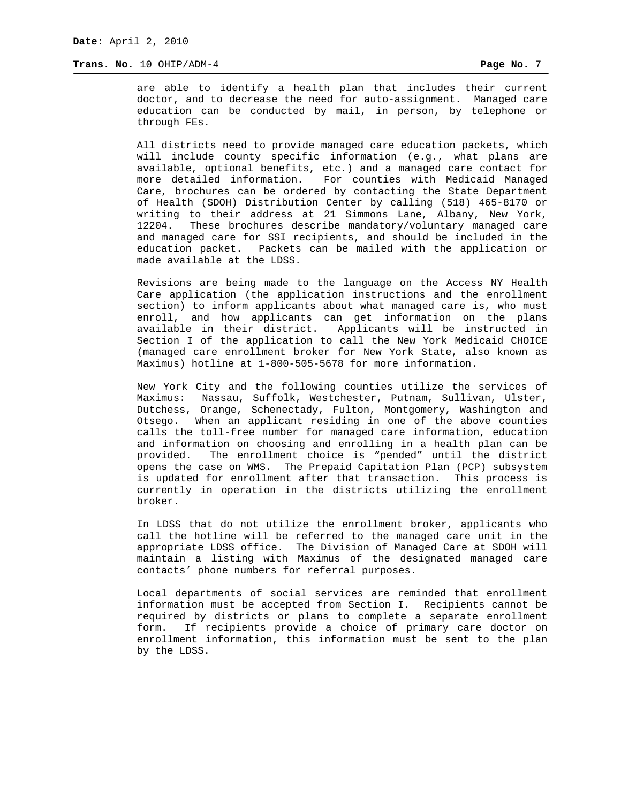are able to identify a health plan that includes their current doctor, and to decrease the need for auto-assignment. Managed care education can be conducted by mail, in person, by telephone or through FEs.

All districts need to provide managed care education packets, which will include county specific information (e.g., what plans are available, optional benefits, etc.) and a managed care contact for more detailed information. For counties with Medicaid Managed Care, brochures can be ordered by contacting the State Department of Health (SDOH) Distribution Center by calling (518) 465-8170 or writing to their address at 21 Simmons Lane, Albany, New York, 12204. These brochures describe mandatory/voluntary managed care and managed care for SSI recipients, and should be included in the education packet. Packets can be mailed with the application or made available at the LDSS.

Revisions are being made to the language on the Access NY Health Care application (the application instructions and the enrollment section) to inform applicants about what managed care is, who must enroll, and how applicants can get information on the plans available in their district. Applicants will be instructed in Section I of the application to call the New York Medicaid CHOICE (managed care enrollment broker for New York State, also known as Maximus) hotline at 1-800-505-5678 for more information.

New York City and the following counties utilize the services of Maximus: Nassau, Suffolk, Westchester, Putnam, Sullivan, Ulster, Dutchess, Orange, Schenectady, Fulton, Montgomery, Washington and Otsego. When an applicant residing in one of the above counties calls the toll-free number for managed care information, education and information on choosing and enrolling in a health plan can be provided. The enrollment choice is "pended" until the district opens the case on WMS. The Prepaid Capitation Plan (PCP) subsystem is updated for enrollment after that transaction. This process is currently in operation in the districts utilizing the enrollment broker.

In LDSS that do not utilize the enrollment broker, applicants who call the hotline will be referred to the managed care unit in the appropriate LDSS office. The Division of Managed Care at SDOH will maintain a listing with Maximus of the designated managed care contacts' phone numbers for referral purposes.

Local departments of social services are reminded that enrollment information must be accepted from Section I. Recipients cannot be required by districts or plans to complete a separate enrollment form. If recipients provide a choice of primary care doctor on enrollment information, this information must be sent to the plan by the LDSS.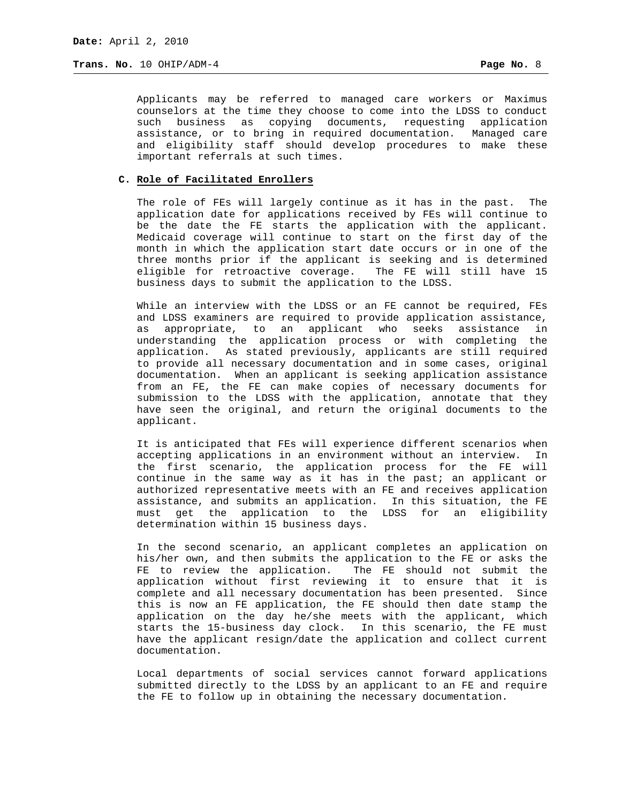Applicants may be referred to managed care workers or Maximus counselors at the time they choose to come into the LDSS to conduct such business as copying documents, requesting application assistance, or to bring in required documentation. Managed care and eligibility staff should develop procedures to make these important referrals at such times.

## **C. Role of Facilitated Enrollers**

The role of FEs will largely continue as it has in the past. The application date for applications received by FEs will continue to be the date the FE starts the application with the applicant. Medicaid coverage will continue to start on the first day of the month in which the application start date occurs or in one of the three months prior if the applicant is seeking and is determined eligible for retroactive coverage. The FE will still have 15 business days to submit the application to the LDSS.

While an interview with the LDSS or an FE cannot be required, FEs and LDSS examiners are required to provide application assistance, as appropriate, to an applicant who seeks assistance in understanding the application process or with completing the application. As stated previously, applicants are still required to provide all necessary documentation and in some cases, original documentation. When an applicant is seeking application assistance from an FE, the FE can make copies of necessary documents for submission to the LDSS with the application, annotate that they have seen the original, and return the original documents to the applicant.

It is anticipated that FEs will experience different scenarios when accepting applications in an environment without an interview. In the first scenario, the application process for the FE will continue in the same way as it has in the past; an applicant or authorized representative meets with an FE and receives application assistance, and submits an application. In this situation, the FE must get the application to the LDSS for an eligibility determination within 15 business days.

In the second scenario, an applicant completes an application on his/her own, and then submits the application to the FE or asks the FE to review the application. The FE should not submit the application without first reviewing it to ensure that it is complete and all necessary documentation has been presented. Since this is now an FE application, the FE should then date stamp the application on the day he/she meets with the applicant, which starts the 15-business day clock. In this scenario, the FE must have the applicant resign/date the application and collect current documentation.

Local departments of social services cannot forward applications submitted directly to the LDSS by an applicant to an FE and require the FE to follow up in obtaining the necessary documentation.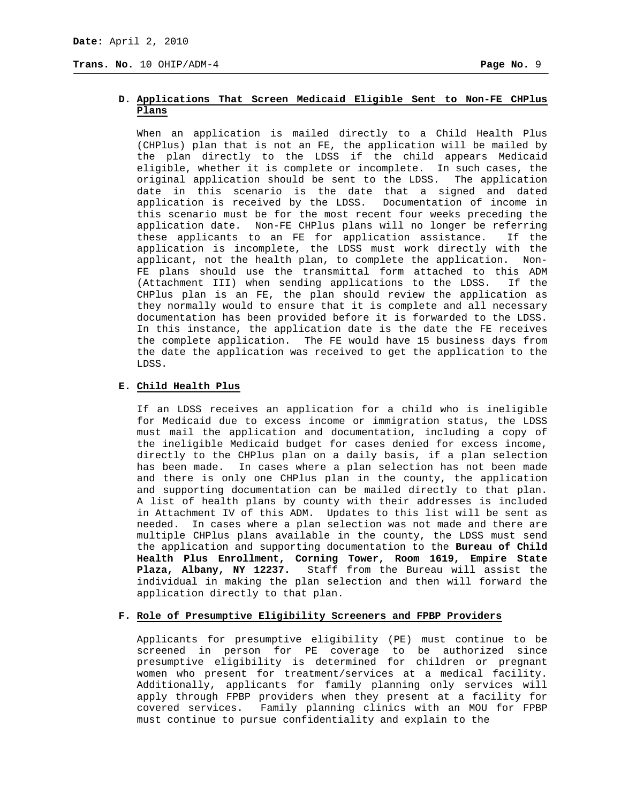# **D. Applications That Screen Medicaid Eligible Sent to Non-FE CHPlus Plans**

When an application is mailed directly to a Child Health Plus (CHPlus) plan that is not an FE, the application will be mailed by the plan directly to the LDSS if the child appears Medicaid eligible, whether it is complete or incomplete. In such cases, the original application should be sent to the LDSS. The application date in this scenario is the date that a signed and dated application is received by the LDSS. Documentation of income in this scenario must be for the most recent four weeks preceding the application date. Non-FE CHPlus plans will no longer be referring these applicants to an FE for application assistance. If the application is incomplete, the LDSS must work directly with the applicant, not the health plan, to complete the application. Non-FE plans should use the transmittal form attached to this ADM (Attachment III) when sending applications to the LDSS. If the CHPlus plan is an FE, the plan should review the application as they normally would to ensure that it is complete and all necessary documentation has been provided before it is forwarded to the LDSS. In this instance, the application date is the date the FE receives the complete application. The FE would have 15 business days from the date the application was received to get the application to the LDSS.

# **E. Child Health Plus**

If an LDSS receives an application for a child who is ineligible for Medicaid due to excess income or immigration status, the LDSS must mail the application and documentation, including a copy of the ineligible Medicaid budget for cases denied for excess income, directly to the CHPlus plan on a daily basis, if a plan selection has been made. In cases where a plan selection has not been made and there is only one CHPlus plan in the county, the application and supporting documentation can be mailed directly to that plan. A list of health plans by county with their addresses is included in Attachment IV of this ADM. Updates to this list will be sent as needed. In cases where a plan selection was not made and there are multiple CHPlus plans available in the county, the LDSS must send the application and supporting documentation to the **Bureau of Child Health Plus Enrollment, Corning Tower, Room 1619, Empire State Plaza, Albany, NY 12237.** Staff from the Bureau will assist the individual in making the plan selection and then will forward the application directly to that plan.

#### **F. Role of Presumptive Eligibility Screeners and FPBP Providers**

Applicants for presumptive eligibility (PE) must continue to be screened in person for PE coverage to be authorized since presumptive eligibility is determined for children or pregnant women who present for treatment/services at a medical facility. Additionally, applicants for family planning only services will apply through FPBP providers when they present at a facility for covered services. Family planning clinics with an MOU for FPBP must continue to pursue confidentiality and explain to the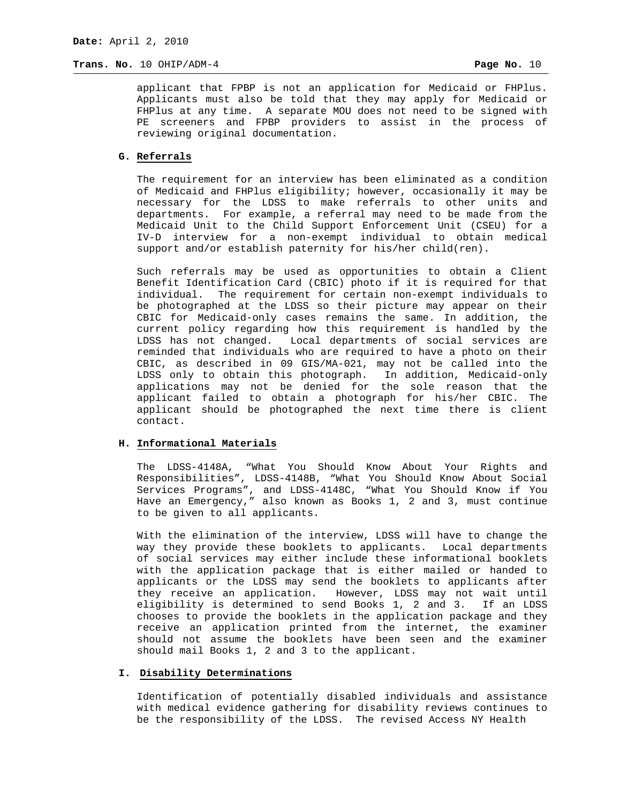applicant that FPBP is not an application for Medicaid or FHPlus. Applicants must also be told that they may apply for Medicaid or FHPlus at any time. A separate MOU does not need to be signed with PE screeners and FPBP providers to assist in the process of reviewing original documentation.

# **G. Referrals**

The requirement for an interview has been eliminated as a condition of Medicaid and FHPlus eligibility; however, occasionally it may be necessary for the LDSS to make referrals to other units and departments. For example, a referral may need to be made from the Medicaid Unit to the Child Support Enforcement Unit (CSEU) for a IV-D interview for a non-exempt individual to obtain medical support and/or establish paternity for his/her child(ren).

Such referrals may be used as opportunities to obtain a Client Benefit Identification Card (CBIC) photo if it is required for that individual. The requirement for certain non-exempt individuals to be photographed at the LDSS so their picture may appear on their CBIC for Medicaid-only cases remains the same. In addition, the current policy regarding how this requirement is handled by the LDSS has not changed. Local departments of social services are reminded that individuals who are required to have a photo on their CBIC, as described in 09 GIS/MA-021, may not be called into the LDSS only to obtain this photograph. In addition, Medicaid-only applications may not be denied for the sole reason that the applicant failed to obtain a photograph for his/her CBIC. The applicant should be photographed the next time there is client contact.

#### **H. Informational Materials**

The LDSS-4148A, "What You Should Know About Your Rights and Responsibilities", LDSS-4148B, "What You Should Know About Social Services Programs", and LDSS-4148C, "What You Should Know if You Have an Emergency," also known as Books 1, 2 and 3, must continue to be given to all applicants.

With the elimination of the interview, LDSS will have to change the way they provide these booklets to applicants. Local departments of social services may either include these informational booklets with the application package that is either mailed or handed to applicants or the LDSS may send the booklets to applicants after they receive an application. However, LDSS may not wait until eligibility is determined to send Books 1, 2 and 3. If an LDSS chooses to provide the booklets in the application package and they receive an application printed from the internet, the examiner should not assume the booklets have been seen and the examiner should mail Books 1, 2 and 3 to the applicant.

# **I. Disability Determinations**

Identification of potentially disabled individuals and assistance with medical evidence gathering for disability reviews continues to be the responsibility of the LDSS. The revised Access NY Health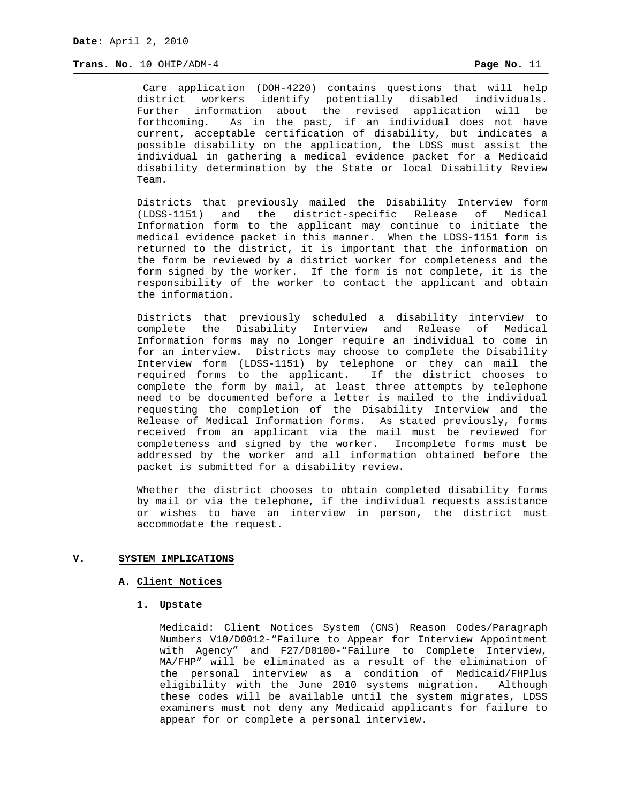Care application (DOH-4220) contains questions that will help district workers identify potentially disabled individuals. Further information about the revised application will be forthcoming. As in the past, if an individual does not have current, acceptable certification of disability, but indicates a possible disability on the application, the LDSS must assist the individual in gathering a medical evidence packet for a Medicaid disability determination by the State or local Disability Review Team.

Districts that previously mailed the Disability Interview form (LDSS-1151) and the district-specific Release of Medical Information form to the applicant may continue to initiate the medical evidence packet in this manner. When the LDSS-1151 form is returned to the district, it is important that the information on the form be reviewed by a district worker for completeness and the form signed by the worker. If the form is not complete, it is the responsibility of the worker to contact the applicant and obtain the information.

Districts that previously scheduled a disability interview to complete the Disability Interview and Release of Medical Information forms may no longer require an individual to come in for an interview. Districts may choose to complete the Disability Interview form (LDSS-1151) by telephone or they can mail the required forms to the applicant. If the district chooses to complete the form by mail, at least three attempts by telephone need to be documented before a letter is mailed to the individual requesting the completion of the Disability Interview and the Release of Medical Information forms. As stated previously, forms received from an applicant via the mail must be reviewed for completeness and signed by the worker. Incomplete forms must be addressed by the worker and all information obtained before the packet is submitted for a disability review.

Whether the district chooses to obtain completed disability forms by mail or via the telephone, if the individual requests assistance or wishes to have an interview in person, the district must accommodate the request.

# **V. SYSTEM IMPLICATIONS**

# **A. Client Notices**

#### **1. Upstate**

Medicaid: Client Notices System (CNS) Reason Codes/Paragraph Numbers V10/D0012-"Failure to Appear for Interview Appointment with Agency" and F27/D0100-"Failure to Complete Interview, MA/FHP" will be eliminated as a result of the elimination of the personal interview as a condition of Medicaid/FHPlus eligibility with the June 2010 systems migration. Although these codes will be available until the system migrates, LDSS examiners must not deny any Medicaid applicants for failure to appear for or complete a personal interview.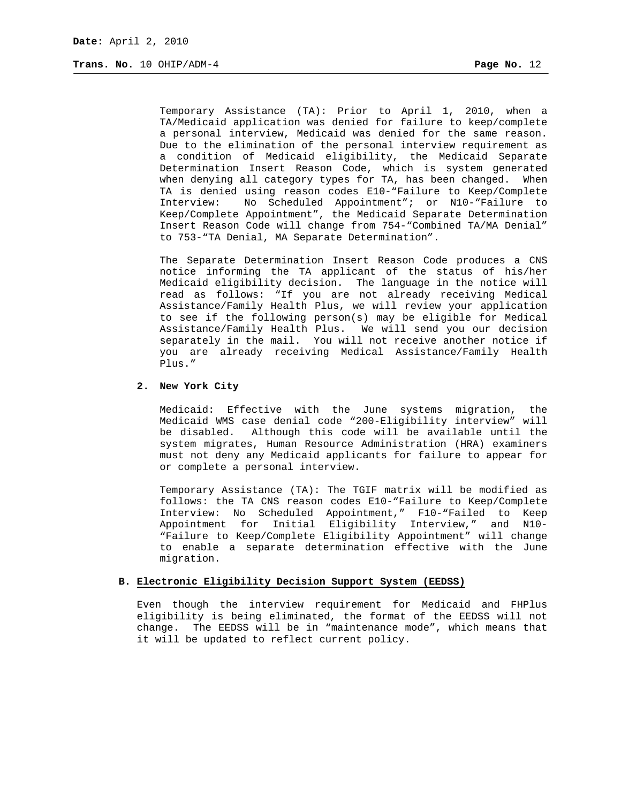Temporary Assistance (TA): Prior to April 1, 2010, when a TA/Medicaid application was denied for failure to keep/complete a personal interview, Medicaid was denied for the same reason. Due to the elimination of the personal interview requirement as a condition of Medicaid eligibility, the Medicaid Separate Determination Insert Reason Code, which is system generated when denying all category types for TA, has been changed. When TA is denied using reason codes E10-"Failure to Keep/Complete Interview: No Scheduled Appointment"; or N10-"Failure to Keep/Complete Appointment", the Medicaid Separate Determination Insert Reason Code will change from 754-"Combined TA/MA Denial" to 753-"TA Denial, MA Separate Determination".

The Separate Determination Insert Reason Code produces a CNS notice informing the TA applicant of the status of his/her Medicaid eligibility decision. The language in the notice will read as follows: "If you are not already receiving Medical Assistance/Family Health Plus, we will review your application to see if the following person(s) may be eligible for Medical Assistance/Family Health Plus. We will send you our decision separately in the mail. You will not receive another notice if you are already receiving Medical Assistance/Family Health Plus."

# **2. New York City**

Medicaid: Effective with the June systems migration, the Medicaid WMS case denial code "200-Eligibility interview" will be disabled. Although this code will be available until the system migrates, Human Resource Administration (HRA) examiners must not deny any Medicaid applicants for failure to appear for or complete a personal interview.

Temporary Assistance (TA): The TGIF matrix will be modified as follows: the TA CNS reason codes E10-"Failure to Keep/Complete Interview: No Scheduled Appointment," F10-"Failed to Keep Appointment for Initial Eligibility Interview," and N10- "Failure to Keep/Complete Eligibility Appointment" will change to enable a separate determination effective with the June migration.

# **B. Electronic Eligibility Decision Support System (EEDSS)**

Even though the interview requirement for Medicaid and FHPlus eligibility is being eliminated, the format of the EEDSS will not change. The EEDSS will be in "maintenance mode", which means that it will be updated to reflect current policy.